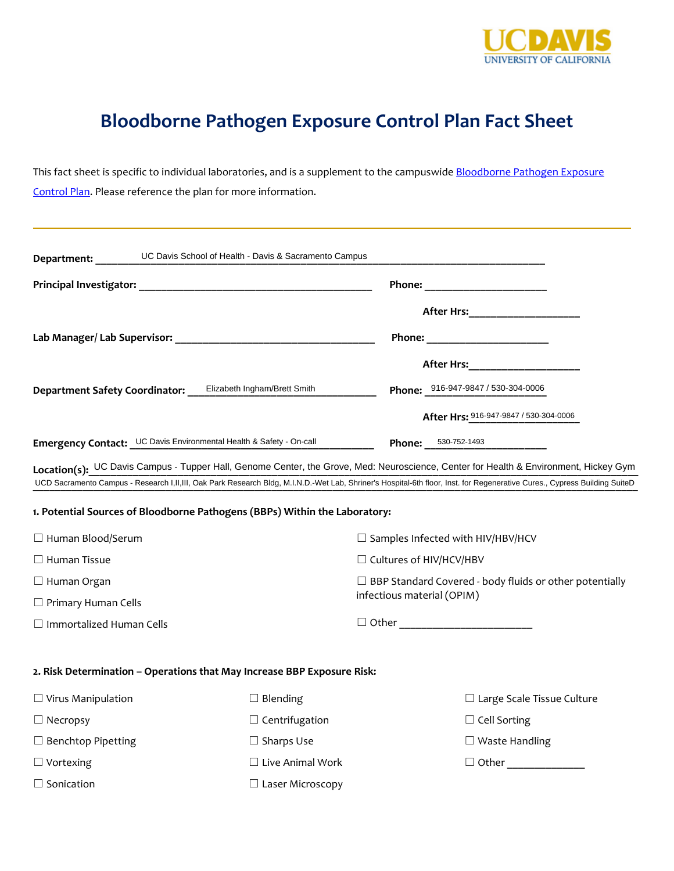

## **Bloodborne Pathogen Exposure Control Plan Fact Sheet**

This fact sheet is specific to individual laboratories, and is a supplement to the campuswide Bloodborne Pathogen Exposure Control Plan</u>. Please reference the plan for more information.

| Department:                                                                                                                                                               | UC Davis School of Health - Davis & Sacramento Campus |                                                                |                                        |  |
|---------------------------------------------------------------------------------------------------------------------------------------------------------------------------|-------------------------------------------------------|----------------------------------------------------------------|----------------------------------------|--|
|                                                                                                                                                                           |                                                       |                                                                |                                        |  |
|                                                                                                                                                                           |                                                       |                                                                |                                        |  |
|                                                                                                                                                                           |                                                       |                                                                |                                        |  |
|                                                                                                                                                                           |                                                       |                                                                | After Hrs: _____________________       |  |
| Department Safety Coordinator:                                                                                                                                            | Elizabeth Ingham/Brett Smith                          | Phone: 916-947-9847 / 530-304-0006                             |                                        |  |
|                                                                                                                                                                           |                                                       |                                                                | After Hrs: 916-947-9847 / 530-304-0006 |  |
| Emergency Contact: UC Davis Environmental Health & Safety - On-call                                                                                                       |                                                       | <b>Phone:</b> 530-752-1493                                     |                                        |  |
| Location(s): UC Davis Campus - Tupper Hall, Genome Center, the Grove, Med: Neuroscience, Center for Health & Environment, Hickey Gym                                      |                                                       |                                                                |                                        |  |
| UCD Sacramento Campus - Research I,II,III, Oak Park Research Bldg, M.I.N.D.-Wet Lab, Shriner's Hospital-6th floor, Inst. for Regenerative Cures., Cypress Building SuiteD |                                                       |                                                                |                                        |  |
| 1. Potential Sources of Bloodborne Pathogens (BBPs) Within the Laboratory:                                                                                                |                                                       |                                                                |                                        |  |
| $\Box$ Human Blood/Serum                                                                                                                                                  |                                                       | $\Box$ Samples Infected with HIV/HBV/HCV                       |                                        |  |
| $\Box$ Human Tissue                                                                                                                                                       |                                                       | $\Box$ Cultures of HIV/HCV/HBV                                 |                                        |  |
| $\Box$ Human Organ                                                                                                                                                        |                                                       | $\Box$ BBP Standard Covered - body fluids or other potentially |                                        |  |
| $\Box$ Primary Human Cells                                                                                                                                                |                                                       | infectious material (OPIM)                                     |                                        |  |
| $\Box$ Immortalized Human Cells                                                                                                                                           |                                                       |                                                                |                                        |  |
| 2. Risk Determination - Operations that May Increase BBP Exposure Risk:                                                                                                   |                                                       |                                                                |                                        |  |
| $\Box$ Virus Manipulation                                                                                                                                                 | $\Box$ Blending                                       |                                                                | $\Box$ Large Scale Tissue Culture      |  |
| $\Box$ Necropsy                                                                                                                                                           | $\Box$ Centrifugation                                 |                                                                | $\Box$ Cell Sorting                    |  |
| $\Box$ Benchtop Pipetting                                                                                                                                                 | $\Box$ Sharps Use                                     |                                                                | $\Box$ Waste Handling                  |  |
| $\Box$ Vortexing                                                                                                                                                          | $\Box$ Live Animal Work                               |                                                                | $\Box$ Other                           |  |
| $\Box$ Sonication                                                                                                                                                         | $\Box$ Laser Microscopy                               |                                                                |                                        |  |